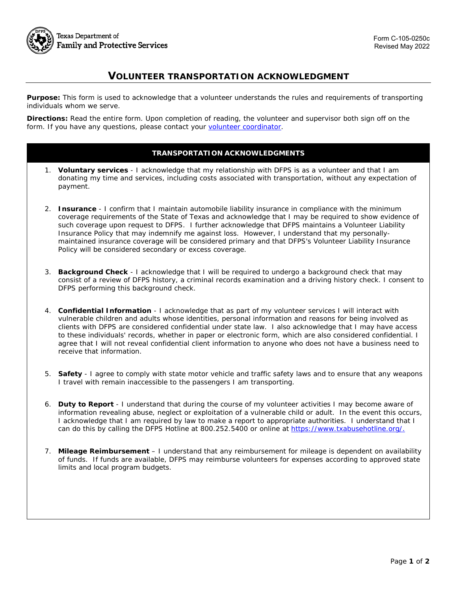

## **VOLUNTEER TRANSPORTATION ACKNOWLEDGMENT**

**Purpose:** This form is used to acknowledge that a volunteer understands the rules and requirements of transporting individuals whom we serve.

**Directions:** Read the entire form. Upon completion of reading, the volunteer and supervisor both sign off on the form. If you have any questions, please contact your [volunteer coordinator.](http://www.dfps.state.tx.us/Community/Volunteer/coordinators.asp)

## **TRANSPORTATION ACKNOWLEDGMENTS**

- 1. **Voluntary services** I acknowledge that my relationship with DFPS is as a volunteer and that I am donating my time and services, including costs associated with transportation, without any expectation of payment.
- 2. **Insurance** I confirm that I maintain automobile liability insurance in compliance with the minimum coverage requirements of the State of Texas and acknowledge that I may be required to show evidence of such coverage upon request to DFPS. I further acknowledge that DFPS maintains a Volunteer Liability Insurance Policy that may indemnify me against loss. However, I understand that my personallymaintained insurance coverage will be considered primary and that DFPS's Volunteer Liability Insurance Policy will be considered secondary or excess coverage.
- 3. **Background Check** I acknowledge that I will be required to undergo a background check that may consist of a review of DFPS history, a criminal records examination and a driving history check. I consent to DFPS performing this background check.
- 4. **Confidential Information** I acknowledge that as part of my volunteer services I will interact with vulnerable children and adults whose identities, personal information and reasons for being involved as clients with DFPS are considered confidential under state law. I also acknowledge that I may have access to these individuals' records, whether in paper or electronic form, which are also considered confidential. I agree that I will not reveal confidential client information to anyone who does not have a business need to receive that information.
- 5. **Safety** I agree to comply with state motor vehicle and traffic safety laws and to ensure that any weapons I travel with remain inaccessible to the passengers I am transporting.
- 6. **Duty to Report** I understand that during the course of my volunteer activities I may become aware of information revealing abuse, neglect or exploitation of a vulnerable child or adult. In the event this occurs, I acknowledge that I am required by law to make a report to appropriate authorities. I understand that I can do this by calling the DFPS Hotline at 800.252.5400 or online at [https://www.txabusehotline.org/.](https://www.txabusehotline.org/Login/Default.aspx)
- 7. **Mileage Reimbursement** I understand that any reimbursement for mileage is dependent on availability of funds. If funds are available, DFPS may reimburse volunteers for expenses according to approved state limits and local program budgets.